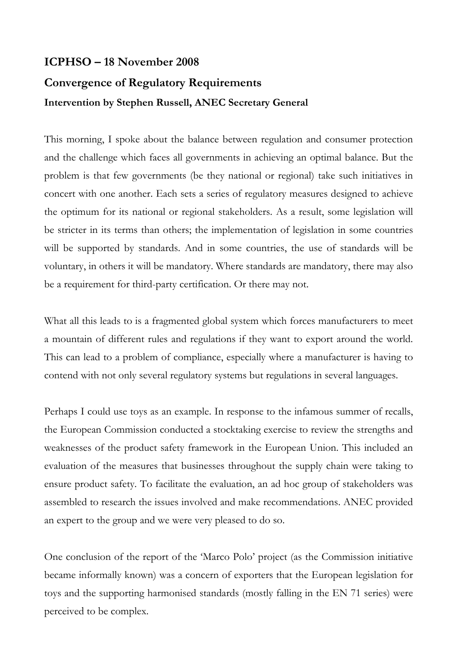## **ICPHSO – 18 November 2008 Convergence of Regulatory Requirements Intervention by Stephen Russell, ANEC Secretary General**

This morning, I spoke about the balance between regulation and consumer protection and the challenge which faces all governments in achieving an optimal balance. But the problem is that few governments (be they national or regional) take such initiatives in concert with one another. Each sets a series of regulatory measures designed to achieve the optimum for its national or regional stakeholders. As a result, some legislation will be stricter in its terms than others; the implementation of legislation in some countries will be supported by standards. And in some countries, the use of standards will be voluntary, in others it will be mandatory. Where standards are mandatory, there may also be a requirement for third-party certification. Or there may not.

What all this leads to is a fragmented global system which forces manufacturers to meet a mountain of different rules and regulations if they want to export around the world. This can lead to a problem of compliance, especially where a manufacturer is having to contend with not only several regulatory systems but regulations in several languages.

Perhaps I could use toys as an example. In response to the infamous summer of recalls, the European Commission conducted a stocktaking exercise to review the strengths and weaknesses of the product safety framework in the European Union. This included an evaluation of the measures that businesses throughout the supply chain were taking to ensure product safety. To facilitate the evaluation, an ad hoc group of stakeholders was assembled to research the issues involved and make recommendations. ANEC provided an expert to the group and we were very pleased to do so.

One conclusion of the report of the 'Marco Polo' project (as the Commission initiative became informally known) was a concern of exporters that the European legislation for toys and the supporting harmonised standards (mostly falling in the EN 71 series) were perceived to be complex.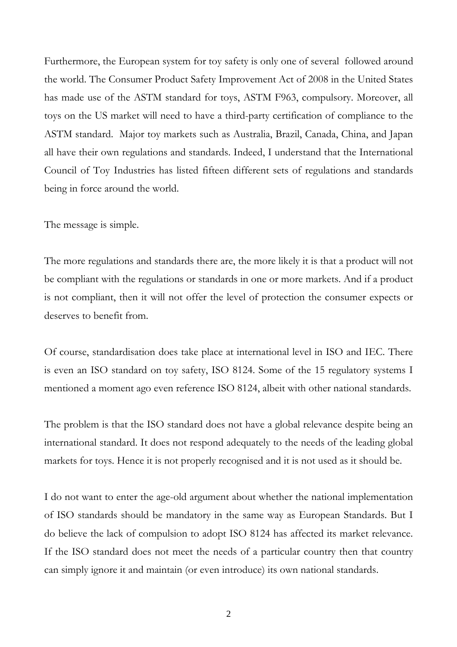Furthermore, the European system for toy safety is only one of several followed around the world. The Consumer Product Safety Improvement Act of 2008 in the United States has made use of the ASTM standard for toys, ASTM F963, compulsory. Moreover, all toys on the US market will need to have a third-party certification of compliance to the ASTM standard. Major toy markets such as Australia, Brazil, Canada, China, and Japan all have their own regulations and standards. Indeed, I understand that the International Council of Toy Industries has listed fifteen different sets of regulations and standards being in force around the world.

The message is simple.

The more regulations and standards there are, the more likely it is that a product will not be compliant with the regulations or standards in one or more markets. And if a product is not compliant, then it will not offer the level of protection the consumer expects or deserves to benefit from.

Of course, standardisation does take place at international level in ISO and IEC. There is even an ISO standard on toy safety, ISO 8124. Some of the 15 regulatory systems I mentioned a moment ago even reference ISO 8124, albeit with other national standards.

The problem is that the ISO standard does not have a global relevance despite being an international standard. It does not respond adequately to the needs of the leading global markets for toys. Hence it is not properly recognised and it is not used as it should be.

I do not want to enter the age-old argument about whether the national implementation of ISO standards should be mandatory in the same way as European Standards. But I do believe the lack of compulsion to adopt ISO 8124 has affected its market relevance. If the ISO standard does not meet the needs of a particular country then that country can simply ignore it and maintain (or even introduce) its own national standards.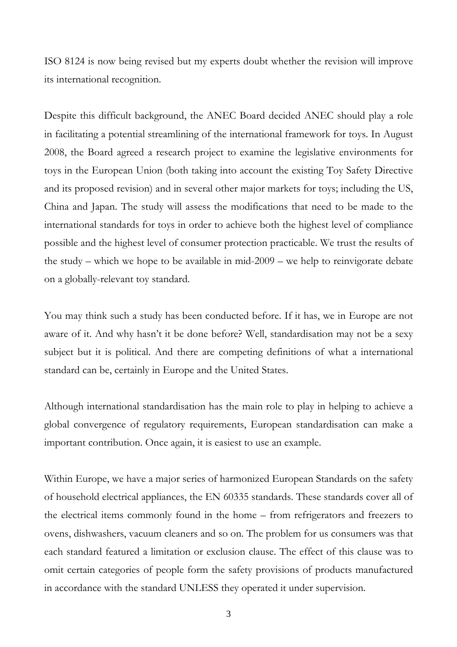ISO 8124 is now being revised but my experts doubt whether the revision will improve its international recognition.

Despite this difficult background, the ANEC Board decided ANEC should play a role in facilitating a potential streamlining of the international framework for toys. In August 2008, the Board agreed a research project to examine the legislative environments for toys in the European Union (both taking into account the existing Toy Safety Directive and its proposed revision) and in several other major markets for toys; including the US, China and Japan. The study will assess the modifications that need to be made to the international standards for toys in order to achieve both the highest level of compliance possible and the highest level of consumer protection practicable. We trust the results of the study – which we hope to be available in mid-2009 – we help to reinvigorate debate on a globally-relevant toy standard.

You may think such a study has been conducted before. If it has, we in Europe are not aware of it. And why hasn't it be done before? Well, standardisation may not be a sexy subject but it is political. And there are competing definitions of what a international standard can be, certainly in Europe and the United States.

Although international standardisation has the main role to play in helping to achieve a global convergence of regulatory requirements, European standardisation can make a important contribution. Once again, it is easiest to use an example.

Within Europe, we have a major series of harmonized European Standards on the safety of household electrical appliances, the EN 60335 standards. These standards cover all of the electrical items commonly found in the home – from refrigerators and freezers to ovens, dishwashers, vacuum cleaners and so on. The problem for us consumers was that each standard featured a limitation or exclusion clause. The effect of this clause was to omit certain categories of people form the safety provisions of products manufactured in accordance with the standard UNLESS they operated it under supervision.